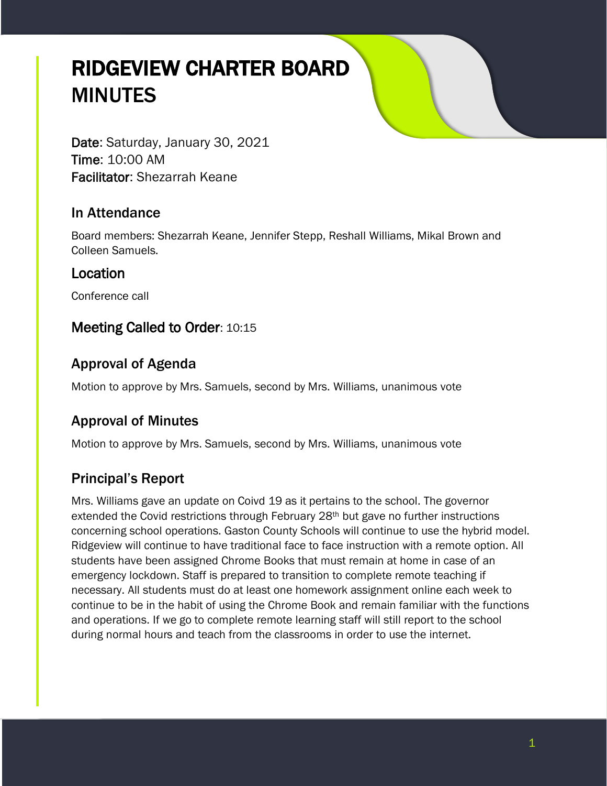# RIDGEVIEW CHARTER BOARD **MINUTES**

Date: Saturday, January 30, 2021 Time: 10:00 AM Facilitator: Shezarrah Keane

## In Attendance

Board members: Shezarrah Keane, Jennifer Stepp, Reshall Williams, Mikal Brown and Colleen Samuels.

## Location

Conference call

# Meeting Called to Order: 10:15

# Approval of Agenda

Motion to approve by Mrs. Samuels, second by Mrs. Williams, unanimous vote

# Approval of Minutes

Motion to approve by Mrs. Samuels, second by Mrs. Williams, unanimous vote

# Principal's Report

Mrs. Williams gave an update on Coivd 19 as it pertains to the school. The governor extended the Covid restrictions through February  $28<sup>th</sup>$  but gave no further instructions concerning school operations. Gaston County Schools will continue to use the hybrid model. Ridgeview will continue to have traditional face to face instruction with a remote option. All students have been assigned Chrome Books that must remain at home in case of an emergency lockdown. Staff is prepared to transition to complete remote teaching if necessary. All students must do at least one homework assignment online each week to continue to be in the habit of using the Chrome Book and remain familiar with the functions and operations. If we go to complete remote learning staff will still report to the school during normal hours and teach from the classrooms in order to use the internet.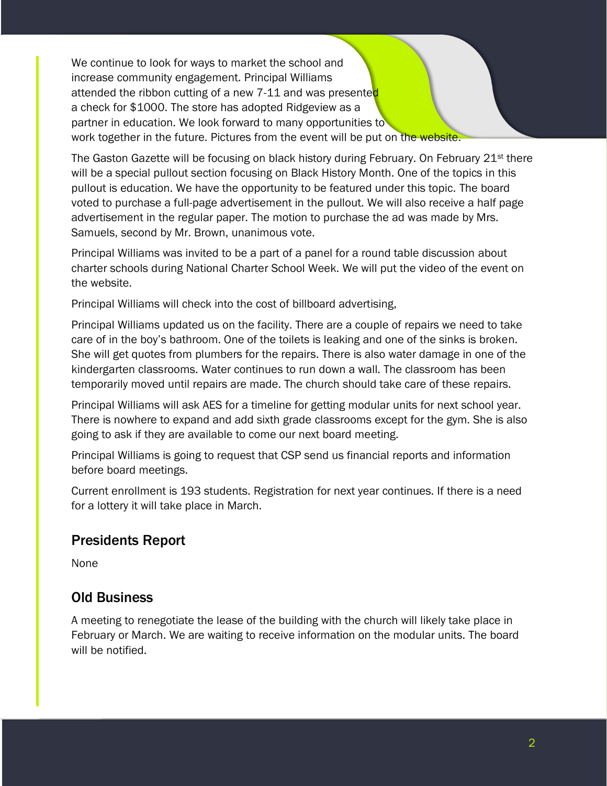We continue to look for ways to market the school and increase community engagement. Principal Williams attended the ribbon cutting of a new 7-11 and was presented a check for \$1000. The store has adopted Ridgeview as a partner in education. We look forward to many opportunities to work together in the future. Pictures from the event will be put on the website.

The Gaston Gazette will be focusing on black history during February. On February 21<sup>st</sup> there will be a special pullout section focusing on Black History Month. One of the topics in this pullout is education. We have the opportunity to be featured under this topic. The board voted to purchase a full-page advertisement in the pullout. We will also receive a half page advertisement in the regular paper. The motion to purchase the ad was made by Mrs. Samuels, second by Mr. Brown, unanimous vote.

Principal Williams was invited to be a part of a panel for a round table discussion about charter schools during National Charter School Week. We will put the video of the event on the website.

Principal Williams will check into the cost of billboard advertising,

Principal Williams updated us on the facility. There are a couple of repairs we need to take care of in the boy's bathroom. One of the toilets is leaking and one of the sinks is broken. She will get quotes from plumbers for the repairs. There is also water damage in one of the kindergarten classrooms. Water continues to run down a wall. The classroom has been temporarily moved until repairs are made. The church should take care of these repairs.

Principal Williams will ask AES for a timeline for getting modular units for next school year. There is nowhere to expand and add sixth grade classrooms except for the gym. She is also going to ask if they are available to come our next board meeting.

Principal Williams is going to request that CSP send us financial reports and information before board meetings.

Current enrollment is 193 students. Registration for next year continues. If there is a need for a lottery it will take place in March.

#### Presidents Report

None

### Old Business

A meeting to renegotiate the lease of the building with the church will likely take place in February or March. We are waiting to receive information on the modular units. The board will be notified.